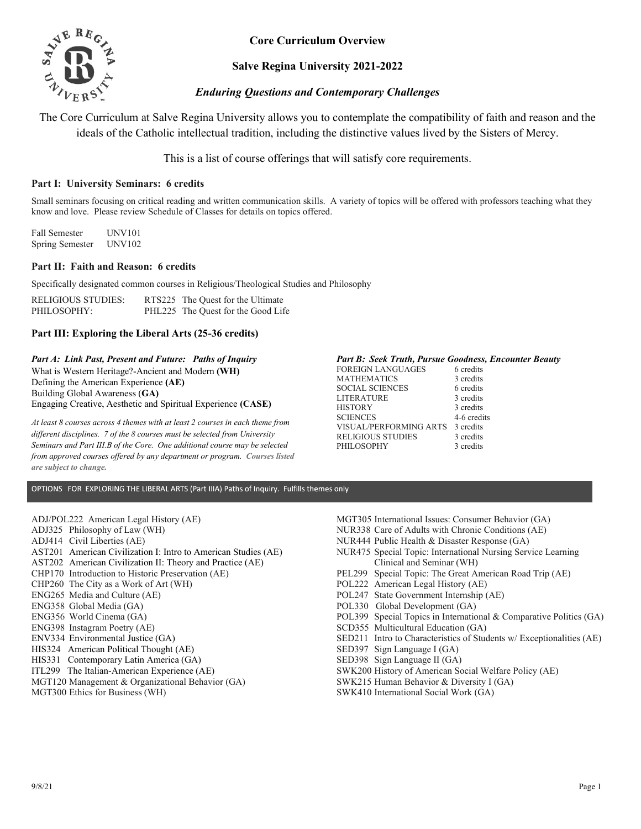

Core Curriculum Overview

# Salve Regina University 2021-2022

# Enduring Questions and Contemporary Challenges

The Core Curriculum at Salve Regina University allows you to contemplate the compatibility of faith and reason and the ideals of the Catholic intellectual tradition, including the distinctive values lived by the Sisters of Mercy.

This is a list of course offerings that will satisfy core requirements.

# Part I: University Seminars: 6 credits

Small seminars focusing on critical reading and written communication skills. A variety of topics will be offered with professors teaching what they know and love. Please review Schedule of Classes for details on topics offered.

Fall Semester UNV101 Spring Semester UNV102

# Part II: Faith and Reason: 6 credits

Specifically designated common courses in Religious/Theological Studies and Philosophy

RELIGIOUS STUDIES: RTS225 The Quest for the Ultimate<br>PHILOSOPHY: PHL225 The Quest for the Good Lif PHL225 The Quest for the Good Life

# Part III: Exploring the Liberal Arts (25-36 credits)

## Part A: Link Past, Present and Future: Paths of Inquiry

What is Western Heritage?-Ancient and Modern (WH) Defining the American Experience (AE) Building Global Awareness (GA) Engaging Creative, Aesthetic and Spiritual Experience (CASE)

At least 8 courses across 4 themes with at least 2 courses in each theme from different disciplines. 7 of the 8 courses must be selected from University Seminars and Part III.B of the Core. One additional course may be selected from approved courses offered by any department or program. Courses listed are subject to change.

### Part B: Seek Truth, Pursue Goodness, Encounter Beauty

| FOREIGN LANGUAGES                | 6 credits   |
|----------------------------------|-------------|
| MATHEMATICS                      | 3 credits   |
| SOCIAL SCIENCES                  | 6 credits   |
| LITERATURE                       | 3 credits   |
| <b>HISTORY</b>                   | 3 credits   |
| <b>SCIENCES</b>                  | 4-6 credits |
| VISUAL/PERFORMING ARTS 3 credits |             |
| RELIGIOUS STUDIES                | 3 credits   |
| PHILOSOPHY                       | 3 credits   |
|                                  |             |

OPTIONS FOR EXPLORING THE LIBERAL ARTS (Part IIIA) Paths of Inquiry. Fulfills themes only

- ADJ222 American Legal History (AE)<br>
ADJ225 American Legal History (AE)<br>
ADJ225 Philosophy of Law (WII)<br>
ADJ225 Philosophy of Law (WII)<br>
ADJ225 Philosophy of Law (WII)<br>
AST202 American Civilization 1: Hroto American Studie ADJ/POL222 American Legal History (AE) ADJ325 Philosophy of Law (WH) ADJ414 Civil Liberties (AE) AST201 American Civilization I: Intro to American Studies (AE) AST202 American Civilization II: Theory and Practice (AE) CHP170 Introduction to Historic Preservation (AE) CHP260 The City as a Work of Art (WH) ENG265 Media and Culture (AE) ENG358 Global Media (GA) ENG356 World Cinema (GA) ENG398 Instagram Poetry (AE) ENV334 Environmental Justice (GA) HIS324 American Political Thought (AE) HIS331 Contemporary Latin America (GA) ITL299 The Italian-American Experience (AE) MGT120 Management & Organizational Behavior (GA) MGT300 Ethics for Business (WH)
	-

NUR444 Public Health & Disaster Response (GA) NUR475 Special Topic: International Nursing Service Learning Clinical and Seminar (WH) PEL299 Special Topic: The Great American Road Trip (AE)

MGT305 International Issues: Consumer Behavior (GA) NUR338 Care of Adults with Chronic Conditions (AE)

- POL222 American Legal History (AE)
- POL247 State Government Internship (AE)
- POL330 Global Development (GA)
- POL399 Special Topics in International & Comparative Politics (GA)
- SCD355 Multicultural Education (GA)
- SED211 Intro to Characteristics of Students w/ Exceptionalities (AE)
- SED397 Sign Language I (GA)
- SED398 Sign Language II (GA)
- SWK200 History of American Social Welfare Policy (AE)
- SWK215 Human Behavior & Diversity I (GA)
- SWK410 International Social Work (GA)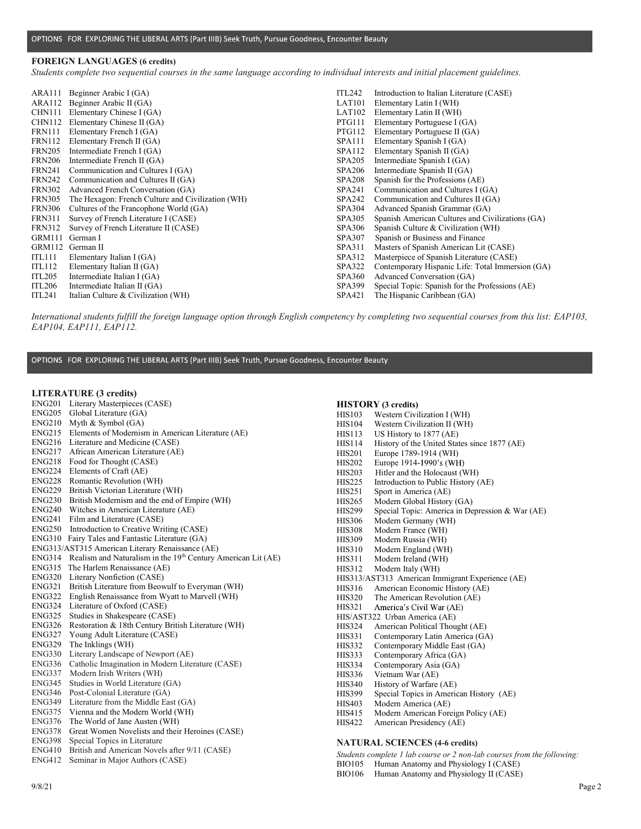#### FOREIGN LANGUAGES (6 credits)

|                                | OPTIONS FOR EXPLORING THE LIBERAL ARTS (Part IIIB) Seek Truth, Pursue Goodness, Encounter Beauty                                  |                  |                                                            |  |  |
|--------------------------------|-----------------------------------------------------------------------------------------------------------------------------------|------------------|------------------------------------------------------------|--|--|
|                                |                                                                                                                                   |                  |                                                            |  |  |
|                                | <b>FOREIGN LANGUAGES (6 credits)</b>                                                                                              |                  |                                                            |  |  |
|                                | Students complete two sequential courses in the same language according to individual interests and initial placement guidelines. |                  |                                                            |  |  |
|                                |                                                                                                                                   |                  |                                                            |  |  |
| ARA111                         | Beginner Arabic I (GA)                                                                                                            | <b>ITL242</b>    | Introduction to Italian Literature (CASE)                  |  |  |
| ARA112                         | Beginner Arabic II (GA)                                                                                                           | <b>LAT101</b>    | Elementary Latin I (WH)                                    |  |  |
| CHN111                         | Elementary Chinese I (GA)                                                                                                         | LAT102           | Elementary Latin II (WH)                                   |  |  |
|                                | CHN112 Elementary Chinese II (GA)                                                                                                 | PTG111<br>PTG112 | Elementary Portuguese I (GA)                               |  |  |
| <b>FRN111</b><br><b>FRN112</b> | Elementary French I (GA)                                                                                                          | SPA111           | Elementary Portuguese II (GA)<br>Elementary Spanish I (GA) |  |  |
| <b>FRN205</b>                  | Elementary French II (GA)<br>Intermediate French I (GA)                                                                           | SPA112           | Elementary Spanish II (GA)                                 |  |  |
| <b>FRN206</b>                  | Intermediate French II (GA)                                                                                                       | <b>SPA205</b>    | Intermediate Spanish I (GA)                                |  |  |
| FRN241                         | Communication and Cultures I (GA)                                                                                                 | <b>SPA206</b>    | Intermediate Spanish II (GA)                               |  |  |
| <b>FRN242</b>                  | Communication and Cultures II (GA)                                                                                                | <b>SPA208</b>    | Spanish for the Professions (AE)                           |  |  |
|                                | FRN302 Advanced French Conversation (GA)                                                                                          | <b>SPA241</b>    | Communication and Cultures I (GA)                          |  |  |
| <b>FRN305</b>                  | The Hexagon: French Culture and Civilization (WH)                                                                                 | <b>SPA242</b>    | Communication and Cultures II (GA)                         |  |  |
| <b>FRN306</b>                  | Cultures of the Francophone World (GA)                                                                                            | <b>SPA304</b>    | Advanced Spanish Grammar (GA)                              |  |  |
| <b>FRN311</b>                  | Survey of French Literature I (CASE)                                                                                              | <b>SPA305</b>    | Spanish American Cultures and Civilizations (GA)           |  |  |
| <b>FRN312</b>                  | Survey of French Literature II (CASE)                                                                                             | <b>SPA306</b>    | Spanish Culture & Civilization (WH)                        |  |  |
| <b>GRM111</b>                  | German I                                                                                                                          | <b>SPA307</b>    | Spanish or Business and Finance                            |  |  |
| GRM112                         | German II                                                                                                                         | SPA311           | Masters of Spanish American Lit (CASE)                     |  |  |
| ITL111                         | Elementary Italian I (GA)                                                                                                         | SPA312           | Masterpiece of Spanish Literature (CASE)                   |  |  |
| <b>ITL112</b>                  | Elementary Italian II (GA)                                                                                                        | <b>SPA322</b>    | Contemporary Hispanic Life: Total Immersion (GA)           |  |  |
| <b>ITL205</b>                  | Intermediate Italian I (GA)                                                                                                       | <b>SPA360</b>    | Advanced Conversation (GA)                                 |  |  |
| <b>ITL206</b>                  | Intermediate Italian II (GA)                                                                                                      | <b>SPA399</b>    | Special Topic: Spanish for the Professions (AE)            |  |  |
| <b>ITL241</b>                  | Italian Culture & Civilization (WH)                                                                                               | SPA421           | The Hispanic Caribbean (GA)                                |  |  |

International students fulfill the foreign language option through English competency by completing two sequential courses from this list: EAP103, EAP104, EAP111, EAP112.

OPTIONS FOR EXPLORING THE LIBERAL ARTS (Part IIIB) Seek Truth, Pursue Goodness, Encounter Beauty

#### LITERATURE (3 credits)

- ENG201 Literary Masterpieces (CASE) ENG205 Global Literature (GA) ENG210 Myth & Symbol (GA) ENG215 Elements of Modernism in American Literature (AE) ENG216 Literature and Medicine (CASE) ENG217 African American Literature (AE) ENG218 Food for Thought (CASE) ENG224 Elements of Craft (AE) ENG228 Romantic Revolution (WH)
- ENG229 British Victorian Literature (WH)
- ENG230 British Modernism and the end of Empire (WH)
- ENG240 Witches in American Literature (AE)
- ENG241 Film and Literature (CASE)
- ENG250 Introduction to Creative Writing (CASE)
- ENG310 Fairy Tales and Fantastic Literature (GA)
- ENG313/AST315 American Literary Renaissance (AE)
- ENG314 Realism and Naturalism in the 19<sup>th</sup> Century American Lit (AE) HIS311
- ENG315 The Harlem Renaissance (AE)
- ENG320 Literary Nonfiction (CASE)
- ENG321 British Literature from Beowulf to Everyman (WH)
- ENG322 English Renaissance from Wyatt to Marvell (WH)
- ENG324 Literature of Oxford (CASE)
- ENG325 Studies in Shakespeare (CASE)
- ENG326 Restoration & 18th Century British Literature (WH)
- ENG327 Young Adult Literature (CASE)
- ENG329 The Inklings (WH)
- ENG330 Literary Landscape of Newport (AE)
- ENG336 Catholic Imagination in Modern Literature (CASE)
- ENG337 Modern Irish Writers (WH) ENG345 Studies in World Literature (GA)
- 
- ENG346 Post-Colonial Literature (GA)<br>ENG349 Literature from the Middle East Literature from the Middle East (GA)
- ENG375 Vienna and the Modern World (WH)
- ENG376 The World of Jane Austen (WH)
- ENG378 Great Women Novelists and their Heroines (CASE)
- Special Topics in Literature
- ENG410 British and American Novels after 9/11 (CASE)
- ENG412 Seminar in Major Authors (CASE)

#### HISTORY (3 credits)

- HIS103 Western Civilization I (WH)
- HIS104 Western Civilization II (WH)
- HIS113 US History to 1877 (AE)
- HIS114 History of the United States since 1877 (AE)
- HIS201 Europe 1789-1914 (WH)
- HIS202 Europe 1914-1990's (WH)<br>HIS203 Hitler and the Holocaust (N
- Hitler and the Holocaust (WH)
- HIS225 Introduction to Public History (AE)
- 
- HIS251 Sport in America (AE)<br>HIS265 Modern Global History
- HIS265 Modern Global History (GA)<br>HIS299 Special Topic: America in De Special Topic: America in Depression & War (AE)
- HIS306 Modern Germany (WH)
- 
- 
- 
- Modern Ireland (WH)
- HIS312 Modern Italy (WH)
- HIS313/AST313 American Immigrant Experience (AE)
- HIS316 American Economic History (AE)
- HIS320 The American Revolution (AE)
- HIS321 America's Civil War (AE)
- HIS/AST322 Urban America (AE)
- HIS324 American Political Thought (AE)
- HIS331 Contemporary Latin America (GA)
- HIS332 Contemporary Middle East (GA)<br>HIS333 Contemporary Africa (GA)
- Contemporary Africa (GA)
- HIS334 Contemporary Asia (GA)
- HIS336 Vietnam War (AE)
- HIS340 History of Warfare (AE)
- HIS399 Special Topics in American History (AE)
- HIS403 Modern America (AE)
- HIS415 Modern American Foreign Policy (AE)
- HIS422 American Presidency (AE)

#### NATURAL SCIENCES (4-6 credits)

Students complete 1 lab course or 2 non-lab courses from the following:

BIO105 Human Anatomy and Physiology I (CASE)

BIO106 Human Anatomy and Physiology II (CASE)

- ENG241 Film and Literature (CASE)<br>
ENG241 Film and Literature (CASE)<br>
ENG241 Film and Early Takes and Early Routine (CASE)<br>
ENG12 Facts and Early Routines (CAE)<br>
ENG11/Section Facts (WH)<br>
ENG11/Section Literation English HIS308 Modern France (WH)<br>HIS309 Modern Russia (WH) Modern Russia (WH) HIS310 Modern England (WH)
	-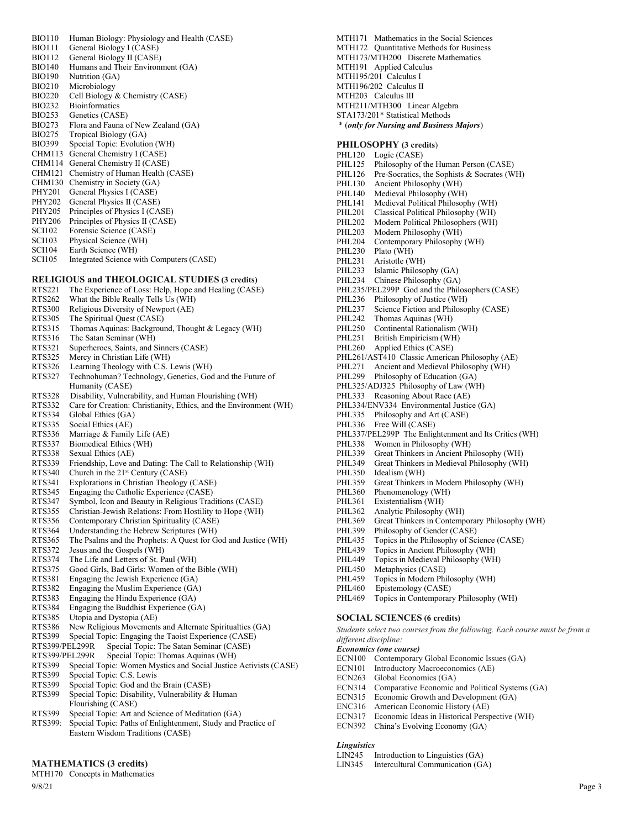- BIO110 Human Biology: Physiology and Health (CASE)
- 
- 
- 
- 
- 
- 
- 
- 
- 
- 
- CHM113 General Chemistry I (CASE) CHM114 General Chemistry II (CASE)
- CHM121 Chemistry of Human Health (CASE)
- CHM130 Chemistry in Society (GA)
- 
- 
- 
- 
- 
- 
- 
- 

### RELIGIOUS and THEOLOGICAL STUDIES (3 credits)

- 
- 
- 
- 
- RTS315 Thomas Aquinas: Background, Thought & Legacy (WH)
- RTS316 The Satan Seminar (WH)
- 
- 
- RTS326 Learning Theology with C.S. Lewis (WH)
- BIO210 Microbiology<br>
BIO220 Cell Biology & Chemistry (CASE)<br>
BIO220 Cell Biology & Chemistry (CASE)<br>
RTS223 Centeins (CASE)<br>
RIS232 Tenetics (CASE)<br>
RTS221 Tenetics (CASE)<br>
RTS221 Tenetics (CASE)<br>
CHM113 General Chemistry BIO222 Ibne Iomain and Fauna Iomain (WH)<br>
RTS1222 - Homain de Future of New Zealand (GA)<br>
BIO275 Tropical Folone (New Zealand GA)<br>
BIO275 Tropical Folone (GAS)<br>
BIO275 Tropical Folone (New Zealand GA)<br>
BIO275 Tropical Folo Humanity (CASE) BIO275 Tropical Biology (GA)<br>
EIGNI113 General Cremistry I (CASE)<br>
CHMI114 General Chemistry II (CASE)<br>
CHMI114 General Chemistry II (CASE)<br>
CHMI114 Chemistry in Society (GA)<br>
CHMI114 Chemistry in Society (GA)<br>
CHMI113 Che HOMP Special Topic Evolution (WH)<br>
HOMP Special Topic EVolution (WH)<br>
CEIMI113 General Chemistry I(CASE)<br>
CHMI113 General Chemistry II(CASE)<br>
CHMI112 Global CHMIN<br>
CEIMI12 Chemistry of Human Health (CASE)<br>
CHMI12 Chemistry CHMI13 General Chemistry I(CASE)<br>
CHMI14 General Chemistry II (CASE)<br>
CHMI14 Ceneral Chemistry II (CASE)<br>
CHMI14 Chemistry in Society (GA)<br>
CHMI130 Chemistry in Society (GA)<br>
CHMI130 Chemistry in Society (GA)<br>
CHMI130 Chem CIMI14 General Chemistry II(CASE)<br>
CIMI141 General Chemistry II(CASE)<br>
CIMI121 General Physics II(CASE)<br>
PHV200 Ceneral Physics II(CASE)<br>
PHV200 General Physics II(CASE)<br>
PHV200 General Physics II(CASE)<br>
PHV200 General Phy CHM121 Chemistry of Human Health (CASE)<br>
CHM130 Chemistry in Society (GA)<br>
PHI/20 Chemistry in Society (GA)<br>
PHY201 General Physics II (CASE)<br>
PHY202 General Physics II (CASE)<br>
PHY202 General Physics II (CASE)<br>
PHY202 PHI/ CHM130 Chemistry in Society (GAS)<br>
PHI/30 Cenem Physics I (CASE)<br>
PHY/20 Cenem Physics I (CASE)<br>
PHY/20 Cenem Physics I (CASE)<br>
PHY/20 Cenem Physics I (CASE)<br>
PHY/20 Cenem Physics I (CASE)<br>
PHY/206 Principles of Physics I PHY201 General Physics I(CASE)<br>
PHY202 General Physics I(CASE)<br>
PHY202 General Physics II (CASE)<br>
PHY202 Principles of Physics II (CASE)<br>
PHY202 Principles of Physics II (CASE)<br>
PHY202 Forencie Science (CASE)<br>
SCI102 Foren PHY202 General Physics II (CASE)<br>
PHY202 Cheracal Physics II (CASE)<br>
PHY202 Church Integral RCASE)<br>
PHY206 Principles of Physics II (CASE)<br>
SCI103 Church is Century (CASE)<br>
SCI103 Church SCI104 Earth Science (VM)<br>
SCI104 E PHY200 Pranciples of Physics II (CASE)<br>
PHY200 Pranciples of Physics II (CASE)<br>
SCI102 Eversite Science (CASE)<br>
SCI102 Eversite Science (CASE)<br>
SCI103 Physical Science (WH)<br>
SCI104 Physical Science (WH)<br>
SCI104 Physical Sc PHV200 Principles of Physics II (CASE)<br>
FIGINO Principles of Physics II (CASE)<br>
SCI103 Physics IScience (CMSE)<br>
SCI104 Earth Science (CMSE)<br>
SCI104 Earth Science (CMSE)<br>
SCI104 Earth Science (WH)<br>
SCI105 Integrated Science SCID2 Forence CASE)<br>
SCID3 Physical Science (WH)<br>
SCID4 Bark Science (WH)<br>
SCID4 Bark Science (WH)<br>
SCID4 Integrated Science (WH)<br>
RTS221 Phis. The Experience of Units<br>
CASE)<br>
RTS222 Vhat the Bible Religious Diversity of N SCI103<br>
SCI104 Ensits bisenes (WH)<br>
SCI104 Ensits Science (WH)<br>
SCI105 Integrated Science (WH)<br>
SCI105 Integrated Science WH)<br>
RTS221 The Experience of Loss: Help, Hope and Healing (CASE)<br>
PH1.233 Distance Ph<br>
RTS222 The E SCID4 Earth Science (WH)<br>
ECID6 Entegrated Science with Computers (CASE) PH1.231 Data Contel RELIGIOUS and THEOLOGICAL STUDIES (3 credits)<br>
PH1.233 Lalarie Ph1.233 Lalaries Ph<br>
RTS222 Vbat the Bible Really Tells Lis, (WH) SCII05 Integrated Science with Congruters (CASE) PHL231 Aristotle (NET<br>
RTS221 The Experience of Loss: Help, Hope and Healing (CASE) PHL234 Definese PH<br>
RTS221 The Experience of Loss: Help, Hope and Healing (CASE) PHL234 C **RELIGIOUS and THEOLOGICAL STUDIES (3 credits)**<br>
PHL233 Islamic Phil SEpticino Colors: Help, Hope and Healing (CASE)<br>
RTS222 The Experience of Loss: Help, Hope and Healing (CASE)<br>
RTS366 The Spiritual Quest (CASE)<br>
RTS366 **RELIGIOUS and THEOLOGICAL STUDIES (3 credits)**<br> **RENESOU STATE (SCRIP (SCRIP (NSP)**<br>
RTS322 The Experience of Loss: Help, Hope and Healing (CASE)<br>
RTS320 What the Bible Really Tells Us, WH) PH1234 Despite DRISS<br>
RTS300 Re RTS221 The Experience of Loss: Help, Hope and Healing (CASE)<br>
RTS262 What the Bible Really Tells Us (WH)<br>
RTS360 Religious Diversity of Newport (AE)<br>
RTS360 Religious Diversity of Newport (AE)<br>
RTS315 The Spiritual Quest ( RTS262 What the Bible Really Tells Us, WH)<br>
RTS260 Religious Diversity of Newport (AE)<br>
RTS396 The Spirital Quest (CASE)<br>
RTS315 Thomas Aquinas: Background, Thought & Legacy (WH)<br>
PHL225 Continental<br>
RTS315 Thomas Aquinas: RTS380 Religious Diversity of Newport (AE)<br>
RTS380 Religious Diversity of Newport (AE)<br>
RTS315 Thus Sharkayand, Thought & Legacy (WH)<br>
RTS315 Thus Sharkayand, Thought & Legacy (WH)<br>
PHL224 Thomas Ac<br>
RTS321 Superhences, St RTS382 Ene Spiritual Quest (CASE)<br>
RTS382 Enemas Aquinas: Background, Thought & Legacy (WH)<br>
RTS315 Thomas Aquinas: Background, Thought & Legacy (WH)<br>
RTS321 Superherocs, Saints, and Simners (CASE)<br>
RTS322 Mere) in Christi RTS383 Thomas Angluans: Background, Thought & Legacy (WH)<br>
RTS316 The State Seminar (WH)<br>
RTS321 Superheros, States, and Simers (CASE)<br>
RTS322 Superheros, States, and Simers (CASE)<br>
RTS322 Suerience (Solid Hindu Experience RTS384 Englistant Smitter (WH)<br>
RTS324 Englistant Smitters, And Simers (CASE)<br>
RTS322 Merey in Christian Life (WH)<br>
RTS322 Learning Theology with C.S. Lewis (WH)<br>
RTS326 Learning Theology with C.S. Lewis (WH)<br>
RTS326 Learn RTS325 Suentheore, Statts, and Simmers (CASE)<br>
RTS325 Mercy in Christian Life (WH)<br>
RTS325 Mercy in Christian Life (WH)<br>
RTS326 Learning Theohogy with C.S. Lewis (WH)<br>
RTS326 Learning Theohogy Cenetics, God and the Future RTS325 Mercy in Christian Life (WH)<br>
RTS326 Meeting Theology with C.S. Lewis (WH)<br>
RTS326 Learning Theology, Genetics, God and the Future of<br>
PHL220 Ancientalties (Technology, Genetics, God and the Future of<br>
PHL223 ADJ32 RTS326 Clearing Theology with C.S. Lewis (WH)<br>
RTS329 Icehnoluman? Technology, Genetics, God and the Future of<br>
FIEL229 Philosophy<br>
RTS322 Special Topics (CASE)<br>
RTS332 Case for Creation: Christianity, Ethics, and the Envi
- RTS328 Disability, Vulnerability, and Human Flourishing (WH)
- 
- 
- 
- 
- 
- 
- 
- 
- 
- 
- 
- 
- 
- 
- 
- 
- 
- 
- 
- 
- 
- 
- 
- 
- 
- RTS399/PEL299R Special Topic: The Satan Seminar (CASE)
- RTS399/PEL299R Special Topic: Thomas Aquinas (WH)
- RTS399 Special Topic: Women Mystics and Social Justice Activists (CASE) ECN101
- 
- 
- Flourishing (CASE)
- 
- RTS332 Care for Creation: Christianity, Ethics, and the Environment (WH)<br>
RTS334 Ciobal Ethics (GA)<br>
RTS335 Social Ethics (GA)<br>
RTS335 Social Ethics (GA)<br>
RTS336 Social Ethics (KE)<br>
RTS336 Secual Ethics (WH)<br>
RTS336 Secual FR3334 Glood Ethics (GA)<br>
FR3335 Social Ethics (AE)<br>
FR3335 Social Ethics (AE)<br>
RTS335 Social Ethics (ME)<br>
RTS337 Secial Ethics (WH)<br>
RTS337 Secial Ethics (WH)<br>
RTS337 Secial Ethics (WH)<br>
PH1.338 Demendian<br>
RTS339 Friendsh RTS339 Social Ethics (AGE)<br>
RTS339 Social Ethics (AE)<br>
RTS339 Social Ethics (AE)<br>
RTS339 Sexual Ethics (WH)<br>
RTS339 Sexual Ethics (WH)<br>
RTS339 Sexual Ethics (AE)<br>
RTS339 Sexual Ethics (AE)<br>
RTS339 Sexual Ethics (AE)<br>
RTS33 FR3393<br>
RTS338 Sexual Ehhies (MH)<br>
RTS338 Sexual Ehhies (MH)<br>
RTS338 Sexual Ehhies (AE)<br>
RTS338 Sexual Ehhies (AE)<br>
RTS336 Church in the 21<sup>ª</sup> Century (CASE)<br>
RTS346 Church in the 21<sup>ª</sup> Century (CASE)<br>
RTS346 Church in the RTS399: Special Topic: Paths of Enlightenment, Study and Practice of Friendship, Love and Dairing: The Call to Relationship (WH)<br>
Friendship (Natural Charlin fitely and Philosophy<br>
Explanations in Christian Theology (CASE)<br>
Engaging the Catholic Experience (CASE)<br>
EFIL350 Detections (WH)<br>

## MATHEMATICS (3 credits)

# MTH170 Concepts in Mathematics

BIO110 Human Biology: Physiology and Health (CASE) MTH171 Mathematic<br>
BIO111 General Biology I (CASE) MTH172 Quantitativ<br>
BIO112 General Biology II (CASE) MTH172 Quantitativ<br>
BIO140 Humans and Their Environment (GA) MTH173 BIO110 Human Biology: Physiology and Health (CASE) MTH171 Mathematic<br>
BIO111 General Biology I (CASE) MTH172 Quantitativ<br>
BIO112 General Biology II (CASE) MTH173/MTH200 L<br>
BIO140 Humans and Their Environment (GA) MTH173/MT BIO110 Human Biology: Physiology and Health (CASE)<br>
BIO111 General Biology I (CASE)<br>
BIO112 General Biology I (CASE)<br>
BIO140 Humans and Their Environment (GA)<br>
BIO140 Humans and Their Environment (GA)<br>
BIO210 Mirril196/202 BIO110 Human Biology: Physiology and Health (CASE)<br>
BIO111 General Biology I (CASE)<br>
BIO111 General Biology I (CASE)<br>
BIO140 Humans and Their Environment (GA)<br>
BIO140 Humans and Their Environment (GA)<br>
BIO190 Mutrition (GA BIO110 Human Biology: Physiology and Health (CASE)<br>
BIO111 General Biology I (CASE)<br>
BIO112 General Biology I (CASE)<br>
BIO140 Humans and Their Environment (GA)<br>
BIO140 Humans and Their Environment (GA)<br>
BIO220 Cell Biology BIO110 Human Biology: Physiology and Health (CASE)<br>
BIO111 General Biology I (CASE)<br>
BIO112 General Biology II (CASE)<br>
BIO140 Humans and Their Environment (GA)<br>
BIO140 Nurtition (GA)<br>
BIO210 Nurtion (GA)<br>
BIO220 Cell Biolo BIO110 Human Biology: Physiology and Health (CASE)<br>
BIO111 General Biology I (CASE)<br>
BIO112 General Biology I (CASE)<br>
BIO122 General Biology II (CASE)<br>
BIO120 Mutrition (GA)<br>
BIO210 Mutrition (GA)<br>
BIO222 Cell Biology & Ch BIO110 Human Biology: Physiology and Health (CASE)<br>
BIO111 General Biology I (CASE)<br>
BIO12 General Biology II (CASE)<br>
BIO140 Humans and Their Environment (GA)<br>
BIO210 Mirrobiology<br>
BIO220 Cell Biology & Chemistry (CASE)<br>
B BIO110 Human Biology: Physiology and Health (CASE)<br>
BIO111 General Biology I (CASE)<br>
BIO112 General Biology I (CASE)<br>
BIO140 Humans and Their Environment (GA)<br>
BIO270 Microbiology<br>
BIO220 Cell Biology & Chemistry (CASE)<br>
B BIO110 Human Biology: Physiology and Health (CASE)<br>
BIO111 General Biology I (CASE)<br>
BIO112 General Biology II (CASE)<br>
BIO140 Humans and Their Environment (GA)<br>
BIO210 Microbiology<br>
BIO220 Cell Biology & Chemistry (CASE)<br> BIO110 Human Biology: Physiology and Health (CASE)<br>
BIO111 General Biology I (CASE)<br>
BIO112 General Biology I (CASE)<br>
BIO140 Humans and Their Environment (GA)<br>
BIO140 Humans and Their Environment (GA)<br>
BIO210 Mirition (GA) BIO110 Human Biology: Physiology and Health (CASE)<br>
BIO111 General Biology I (CASE)<br>
BIO112 General Biology II (CASE)<br>
BIO142 General Biology II (CASE)<br>
BIO140 Humans and Their Environment (GA)<br>
BIO210 Murtition (GA)<br>
BIO2 BIO110 Human Biology: Physiology and Health (CASE)<br>
BIO112 General Biology I (CASE)<br>
BIO112 General Biology II (CASE)<br>
BIO140 Humans and Their Environment (GA)<br>
BIO140 Murtino (GA)<br>
BIO190 Murtino (GA)<br>
BIO222 Celell Biolo BIO110 Human Biology: Physiology and Health (CASE)<br>
BIO111 General Biology I (CASE)<br>
BIO112 General Biology II (CASE)<br>
BIO140 Humans and Their Environment (GA)<br>
BIO140 Humans and Their Environment (GA)<br>
BIO220 Cell Biology BIO110 Human Biology: Physiology and Health (CASE)<br>
BIO111 General Biology I (CASE)<br>
BIO112 General Biology II (CASE)<br>
BIO140 Humans and Their Environment (GA)<br>
BIO140 Humans and Their Environment (GA)<br>
BIO210 Microbiology BIO110 Human Biology: Physiology and Health (CASE)<br>
BIO111 General Biology I (CASE)<br>
BIO112 General Biology II (CASE)<br>
BIO140 Humans and Their Environment (GA)<br>
BIO140 Humans and Their Environment (GA)<br>
BIO140 Humans and T BO110 Human Biology: Physiology and Health (CASE)<br>
BIO111 General Biology I (CASE)<br>
BIO112 General Biology II (CASE)<br>
BIO120 Humans and Their Environment (GA)<br>
BIO120 Humans and Their Environment (GA)<br>
BIO210 Microbiology<br> BIO110 Human Biology: Physiology and Health (CASE)<br>
BIO111 General Biology I (CASE)<br>
BIO112 General Biology I (CASE)<br>
BIO12 General Biology I (CASE)<br>
BIO140 Humans and Their Environment (GA)<br>
BIO140 Humans and Their Enviro BIO110 Human Biology: Physiology and Health (CASE)<br>
BIO111 General Biology I (CASE)<br>
BIO112 General Biology I (CASE)<br>
BIO112 General Biology I (CASE)<br>
BIO112 General Biology I (CASE)<br>
BIO112 Minimiss and Their Ewironment G BIO110 Human Biology: Physiology and Health (CASE)<br>
BIO111 General Biology I (CASE)<br>
BIO112 General Biology II (CASE)<br>
BIO112 General Biology II (CASE)<br>
BIO140 Humans and Their Environment (GA)<br>
BIO140 Humans and Their Env BIO110 Human Biology: Physiology and Health (CASE)<br>
IBO111 General Biology I (CASE)<br>
IBO112 General Biology II (CASE)<br>
IBO112 General Biology II (CASE)<br>
IBO140 Humans and Their Environment (GA)<br>
IBO120 Microbiology & Chemi BIOI10 Human Biology (EASE)<br>
BIOI11 Ceneral Biology II (CASE)<br>
BIOI11 Ceneral Biology II (CASE)<br>
BIOI12 Ceneral Biology II (CASE)<br>
BIOI12 Ceneral Biology II (CASE)<br>
BIOI12 Ceneral Biology (EASE)<br>
BIO210 Microbiology<br>
BIO22 BOI11 General Biology I(CASE)<br>
BOI12 General Biology I(CASE)<br>
BOI12 General Biology I(CASE)<br>
BOI140 Humans and Their Environment (GA)<br>
BOI140 Mitti197-Applied Case<br>
BOI20 Microbiology & Chemistry (CASE)<br>
BOI220 Cell Biolog BIO190<br>
RIGI201 Nutrion (GA)<br>
BIO220 Laclub<br>
BIO220 Cell Biology & Chemistry (CASE)<br>
BIO223 Disoinformaises<br>
BIO233 Disoinformaises<br>
BIO233 Disoinformaises<br>
BIO233 Disoinformaises<br>
BIO233 Tors and Fauna of New Zealand (GA) MTH171 Mathematics in the Social Sciences MTH172 Quantitative Methods for Business MTH173/MTH200 Discrete Mathematics MTH171 Mathematics in the Social Sciences<br>MTH172 Quantitative Methods for Business<br>MTH173/MTH200 Discrete Mathematics<br>MTH191 Applied Calculus<br>MTH195/201 Calculus I<br>MTH196/202 Calculus II<br>MTH203 Calculus III<br>MTH211/MTH300 L MTH195/201 Calculus I MTH196/202 Calculus II MTH203 Calculus III MTH211/MTH300 Linear Algebra STA173/201\* Statistical Methods \* (only for Nursing and Business Majors)

#### PHILOSOPHY (3 credits)

- PHL120 Logic (CASE)
- PHL125 Philosophy of the Human Person (CASE)
- PHL126 Pre-Socratics, the Sophists & Socrates (WH)
- PHL130 Ancient Philosophy (WH)
- PHL140 Medieval Philosophy (WH)
- PHL141 Medieval Political Philosophy (WH)
- PHL201 Classical Political Philosophy (WH)
- PHL202 Modern Political Philosophers (WH)
- PHL203 Modern Philosophy (WH)<br>PHL204 Contemporary Philosophy
- Contemporary Philosophy (WH)
- PHL230 Plato (WH)
- PHL231 Aristotle (WH)<br>PHL233 Islamic Philoso
- Islamic Philosophy (GA)
- Chinese Philosophy (GA)
- PHL235/PEL299P God and the Philosophers (CASE)
- PHL236 Philosophy of Justice (WH)<br>PHL237 Science Fiction and Philoso
- Science Fiction and Philosophy (CASE)
- PHL242 Thomas Aquinas (WH)
- Continental Rationalism (WH)
- PHL251 British Empiricism (WH)
- PHL260 Applied Ethics (CASE)
- PHL261/AST410 Classic American Philosophy (AE)

PHL337/PEL299P The Enlightenment and Its Critics (WH)

Great Thinkers in Ancient Philosophy (WH) PHL349 Great Thinkers in Medieval Philosophy (WH)

Great Thinkers in Modern Philosophy (WH)

Topics in the Philosophy of Science (CASE)

Topics in Contemporary Philosophy (WH)

ECN100 Contemporary Global Economic Issues (GA) Introductory Macroeconomics (AE)

ECN314 Comparative Economic and Political Systems (GA) ECN315 Economic Growth and Development (GA) ENC316 American Economic History (AE)

ECN317 Economic Ideas in Historical Perspective (WH)

Introduction to Linguistics (GA) LIN345 Intercultural Communication (GA)

Students select two courses from the following. Each course must be from a

PHL369 Great Thinkers in Contemporary Philosophy (WH)

- PHL271 Ancient and Medieval Philosophy (WH)
- PHL299 Philosophy of Education (GA)
- PHL325/ADJ325 Philosophy of Law (WH)
- PHL333 Reasoning About Race (AE)
- PHL334/ENV334 Environmental Justice (GA)

Analytic Philosophy (WH)

PHL439 Topics in Ancient Philosophy (WH) PHL449 Topics in Medieval Philosophy (WH)

PHL459 Topics in Modern Philosophy (WH)

PHL399 Philosophy of Gender (CASE)<br>PHL435 Topics in the Philosophy of Sc

PHL335 Philosophy and Art (CASE) PHL336 Free Will (CASE)

PHL338 Women in Philosophy (WH)<br>PHL339 Great Thinkers in Ancient Ph

PHL350 Idealism (WH)<br>PHL359 Great Thinkers

PHL360 Phenomenology (WH) PHL361 Existentialism (WH)<br>PHL362 Analytic Philosophy

PHL450 Metaphysics (CASE)

PHL460 Epistemology (CASE)<br>PHL469 Topics in Contemporar

SOCIAL SCIENCES (6 credits)

ECN263 Global Economics (GA)

ECN392 China's Evolving Economy (GA)

different discipline: Economics (one course)

**Linguistics**<br>LIN245 1